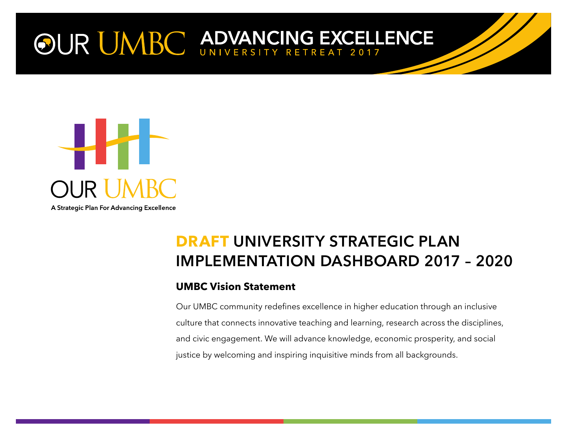# OUR UMBC ADVANCING EXCELLENCE



## **DRAFT UNIVERSITY STRATEGIC PLAN IMPLEMENTATION DASHBOARD 2017 – 2020**

#### **UMBC Vision Statement**

Our UMBC community redefines excellence in higher education through an inclusive culture that connects innovative teaching and learning, research across the disciplines, and civic engagement. We will advance knowledge, economic prosperity, and social justice by welcoming and inspiring inquisitive minds from all backgrounds.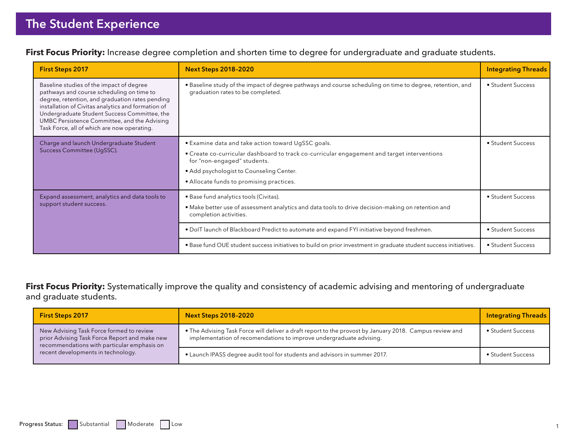**First Focus Priority:** Increase degree completion and shorten time to degree for undergraduate and graduate students.

| <b>First Steps 2017</b>                                                                                                                                                                                                                                                                                                                       | <b>Next Steps 2018-2020</b>                                                                                                                                                                                                                                              | <b>Integrating Threads</b> |
|-----------------------------------------------------------------------------------------------------------------------------------------------------------------------------------------------------------------------------------------------------------------------------------------------------------------------------------------------|--------------------------------------------------------------------------------------------------------------------------------------------------------------------------------------------------------------------------------------------------------------------------|----------------------------|
| Baseline studies of the impact of degree<br>pathways and course scheduling on time to<br>degree, retention, and graduation rates pending<br>installation of Civitas analytics and formation of<br>Undergraduate Student Success Committee, the<br>UMBC Persistence Committee, and the Advising<br>Task Force, all of which are now operating. | · Baseline study of the impact of degree pathways and course scheduling on time to degree, retention, and<br>graduation rates to be completed.                                                                                                                           | • Student Success          |
| Charge and launch Undergraduate Student<br>Success Committee (UgSSC).                                                                                                                                                                                                                                                                         | • Examine data and take action toward UgSSC goals.<br>• Create co-curricular dashboard to track co-curricular engagement and target interventions<br>for "non-engaged" students.<br>• Add psychologist to Counseling Center.<br>• Allocate funds to promising practices. | • Student Success          |
| Expand assessment, analytics and data tools to<br>support student success.                                                                                                                                                                                                                                                                    | • Base fund analytics tools (Civitas).<br>• Make better use of assessment analytics and data tools to drive decision-making on retention and<br>completion activities.                                                                                                   | • Student Success          |
|                                                                                                                                                                                                                                                                                                                                               | . DoIT launch of Blackboard Predict to automate and expand FYI initiative beyond freshmen.                                                                                                                                                                               | • Student Success          |
|                                                                                                                                                                                                                                                                                                                                               | . Base fund OUE student success initiatives to build on prior investment in graduate student success initiatives.                                                                                                                                                        | • Student Success          |

**First Focus Priority:** Systematically improve the quality and consistency of academic advising and mentoring of undergraduate and graduate students.

| <b>First Steps 2017</b>                                                                                                                  | <b>Next Steps 2018-2020</b>                                                                                                                                                    | <b>Integrating Threads</b> |
|------------------------------------------------------------------------------------------------------------------------------------------|--------------------------------------------------------------------------------------------------------------------------------------------------------------------------------|----------------------------|
| New Advising Task Force formed to review<br>prior Advising Task Force Report and make new<br>recommendations with particular emphasis on | • The Advising Task Force will deliver a draft report to the provost by January 2018. Campus review and<br>implementation of recomendations to improve undergraduate advising. | • Student Success          |
| recent developments in technology.                                                                                                       | • Launch IPASS degree audit tool for students and advisors in summer 2017.                                                                                                     | • Student Success          |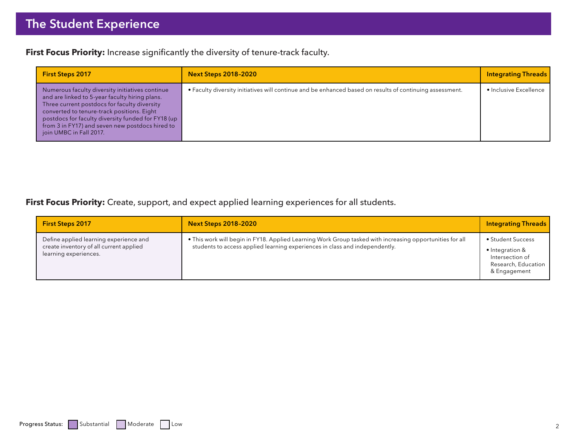**First Focus Priority:** Increase significantly the diversity of tenure-track faculty.

| <b>First Steps 2017</b>                                                                                                                                                                                                                                                                                                             | <b>Next Steps 2018-2020</b>                                                                              | <b>Integrating Threads</b> |
|-------------------------------------------------------------------------------------------------------------------------------------------------------------------------------------------------------------------------------------------------------------------------------------------------------------------------------------|----------------------------------------------------------------------------------------------------------|----------------------------|
| Numerous faculty diversity initiatives continue<br>and are linked to 5-year faculty hiring plans.<br>Three current postdocs for faculty diversity<br>converted to tenure-track positions. Eight<br>postdocs for faculty diversity funded for FY18 (up<br>from 3 in FY17) and seven new postdocs hired to<br>join UMBC in Fall 2017. | • Faculty diversity initiatives will continue and be enhanced based on results of continuing assessment. | • Inclusive Excellence     |

**First Focus Priority:** Create, support, and expect applied learning experiences for all students.

| <b>First Steps 2017</b>                                                                                    | <b>Next Steps 2018-2020</b>                                                                                                                                                             | <b>Integrating Threads</b>                                                                     |
|------------------------------------------------------------------------------------------------------------|-----------------------------------------------------------------------------------------------------------------------------------------------------------------------------------------|------------------------------------------------------------------------------------------------|
| Define applied learning experience and<br>create inventory of all current applied<br>learning experiences. | • This work will begin in FY18. Applied Learning Work Group tasked with increasing opportunities for all<br>students to access applied learning experiences in class and independently. | • Student Success<br>• Integration &<br>Intersection of<br>Research, Education<br>& Engagement |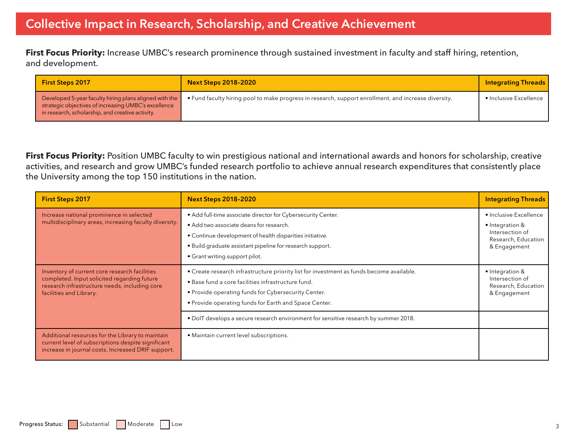First Focus Priority: Increase UMBC's research prominence through sustained investment in faculty and staff hiring, retention, and development.

| <b>First Steps 2017</b>                                                                                                                                            | <b>Next Steps 2018-2020</b>                                                                          | <b>Integrating Threads</b> |
|--------------------------------------------------------------------------------------------------------------------------------------------------------------------|------------------------------------------------------------------------------------------------------|----------------------------|
| Developed 5-year faculty hiring plans aligned with the<br>strategic objectives of increasing UMBC's excellence<br>in research, scholarship, and creative activity. | • Fund faculty hiring pool to make progress in research, support enrollment, and increase diversity. | • Inclusive Excellence     |

First Focus Priority: Position UMBC faculty to win prestigious national and international awards and honors for scholarship, creative activities, and research and grow UMBC's funded research portfolio to achieve annual research expenditures that consistently place the University among the top 150 institutions in the nation.

| <b>First Steps 2017</b>                                                                                                                                                  | <b>Next Steps 2018-2020</b>                                                                                                                                                                                                                                        | <b>Integrating Threads</b>                                                                          |
|--------------------------------------------------------------------------------------------------------------------------------------------------------------------------|--------------------------------------------------------------------------------------------------------------------------------------------------------------------------------------------------------------------------------------------------------------------|-----------------------------------------------------------------------------------------------------|
| Increase national prominence in selected<br>multidisciplinary areas, increasing faculty diversity.                                                                       | • Add full-time associate director for Cybersecurity Center.<br>• Add two associate deans for research.<br>• Continue development of health disparities initiative.<br>• Build graduate assistant pipeline for research support.<br>• Grant writing support pilot. | · Inclusive Excellence<br>• Integration &<br>Intersection of<br>Research, Education<br>& Engagement |
| Inventory of current core research facilities<br>completed. Input solicited regarding future<br>research infrastructure needs, including core<br>facilities and Library. | • Create research infrastructure priority list for investment as funds become available.<br>. Base fund a core facilities infrastructure fund.<br>• Provide operating funds for Cybersecurity Center.<br>• Provide operating funds for Earth and Space Center.     | • Integration &<br>Intersection of<br>Research, Education<br>& Engagement                           |
|                                                                                                                                                                          | . DoIT develops a secure research environment for sensitive research by summer 2018.                                                                                                                                                                               |                                                                                                     |
| Additional resources for the Library to maintain<br>current level of subscriptions despite significant<br>increase in journal costs. Increased DRIF support.             | • Maintain current level subscriptions.                                                                                                                                                                                                                            |                                                                                                     |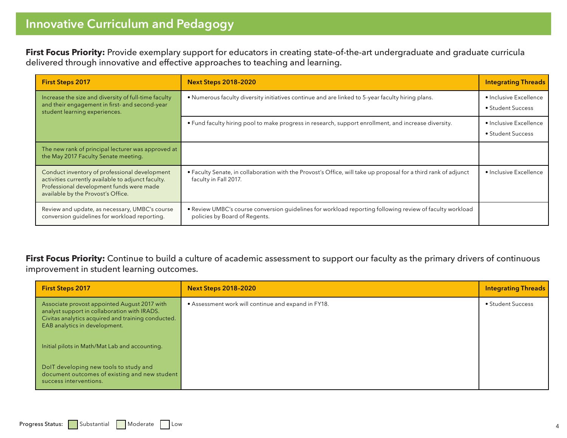**First Focus Priority:** Provide exemplary support for educators in creating state-of-the-art undergraduate and graduate curricula delivered through innovative and effective approaches to teaching and learning.

| <b>First Steps 2017</b>                                                                                                                                                               | <b>Next Steps 2018-2020</b>                                                                                                               | <b>Integrating Threads</b>                  |
|---------------------------------------------------------------------------------------------------------------------------------------------------------------------------------------|-------------------------------------------------------------------------------------------------------------------------------------------|---------------------------------------------|
| Increase the size and diversity of full-time faculty<br>and their engagement in first- and second-year<br>student learning experiences.                                               | • Numerous faculty diversity initiatives continue and are linked to 5-year faculty hiring plans.                                          | • Inclusive Excellence<br>• Student Success |
|                                                                                                                                                                                       | • Fund faculty hiring pool to make progress in research, support enrollment, and increase diversity.                                      | • Inclusive Excellence<br>• Student Success |
| The new rank of principal lecturer was approved at<br>the May 2017 Faculty Senate meeting.                                                                                            |                                                                                                                                           |                                             |
| Conduct inventory of professional development<br>activities currently available to adjunct faculty.<br>Professional development funds were made<br>available by the Provost's Office. | . Faculty Senate, in collaboration with the Provost's Office, will take up proposal for a third rank of adjunct<br>faculty in Fall 2017.  | • Inclusive Excellence                      |
| Review and update, as necessary, UMBC's course<br>conversion quidelines for workload reporting.                                                                                       | . Review UMBC's course conversion guidelines for workload reporting following review of faculty workload<br>policies by Board of Regents. |                                             |

First Focus Priority: Continue to build a culture of academic assessment to support our faculty as the primary drivers of continuous improvement in student learning outcomes.

| <b>First Steps 2017</b>                                                                                                                                                             | <b>Next Steps 2018-2020</b>                         | <b>Integrating Threads</b> |
|-------------------------------------------------------------------------------------------------------------------------------------------------------------------------------------|-----------------------------------------------------|----------------------------|
| Associate provost appointed August 2017 with<br>analyst support in collaboration with IRADS.<br>Civitas analytics acquired and training conducted.<br>EAB analytics in development. | • Assessment work will continue and expand in FY18. | • Student Success          |
| Initial pilots in Math/Mat Lab and accounting.                                                                                                                                      |                                                     |                            |
| DolT developing new tools to study and<br>document outcomes of existing and new student<br>success interventions.                                                                   |                                                     |                            |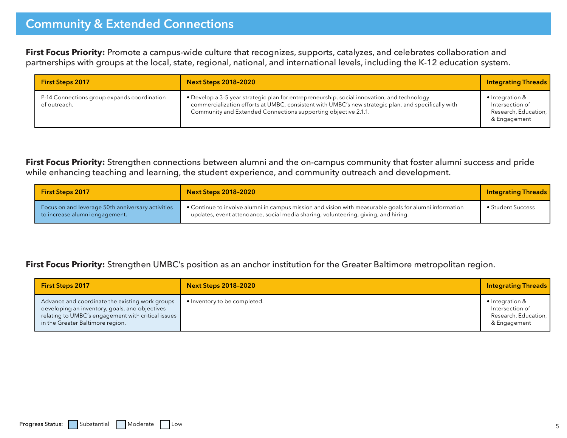First Focus Priority: Promote a campus-wide culture that recognizes, supports, catalyzes, and celebrates collaboration and partnerships with groups at the local, state, regional, national, and international levels, including the K-12 education system.

| <b>First Steps 2017</b>                                     | <b>Next Steps 2018-2020</b>                                                                                                                                                                                                                                          | <b>Integrating Threads</b>                                                         |
|-------------------------------------------------------------|----------------------------------------------------------------------------------------------------------------------------------------------------------------------------------------------------------------------------------------------------------------------|------------------------------------------------------------------------------------|
| P-14 Connections group expands coordination<br>of outreach. | • Develop a 3-5 year strategic plan for entrepreneurship, social innovation, and technology<br>commercialization efforts at UMBC, consistent with UMBC's new strategic plan, and specifically with<br>Community and Extended Connections supporting objective 2.1.1. | $\bullet$ Integration &<br>Intersection of<br>Research, Education,<br>& Engagement |

**First Focus Priority:** Strengthen connections between alumni and the on-campus community that foster alumni success and pride while enhancing teaching and learning, the student experience, and community outreach and development.

| <b>First Steps 2017</b>                                                             | <b>Next Steps 2018-2020</b>                                                                                                                                                                  | <b>Integrating Threads</b> |
|-------------------------------------------------------------------------------------|----------------------------------------------------------------------------------------------------------------------------------------------------------------------------------------------|----------------------------|
| Focus on and leverage 50th anniversary activities<br>to increase alumni engagement. | • Continue to involve alumni in campus mission and vision with measurable goals for alumni information<br>updates, event attendance, social media sharing, volunteering, giving, and hiring. | • Student Success          |

#### **First Focus Priority:** Strengthen UMBC's position as an anchor institution for the Greater Baltimore metropolitan region.

| <b>First Steps 2017</b>                                                                                                                                                                     | <b>Next Steps 2018-2020</b>  | <b>Integrating Threads</b>                                                           |
|---------------------------------------------------------------------------------------------------------------------------------------------------------------------------------------------|------------------------------|--------------------------------------------------------------------------------------|
| Advance and coordinate the existing work groups<br>developing an inventory, goals, and objectives<br>relating to UMBC's engagement with critical issues<br>in the Greater Baltimore region. | • Inventory to be completed. | $\bullet$ Integration &<br>Intersection of<br>Research, Education,  <br>& Engagement |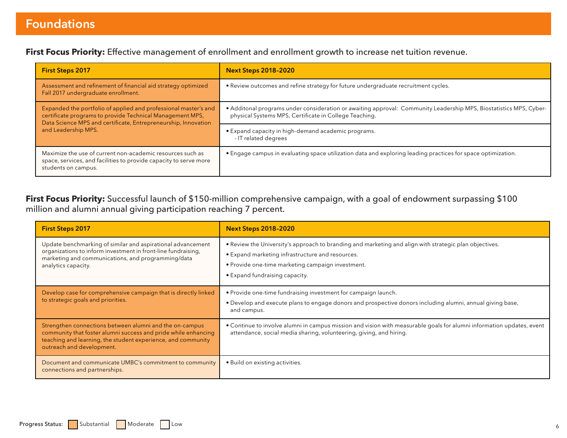**First Focus Priority:** Effective management of enrollment and enrollment growth to increase net tuition revenue.

| <b>First Steps 2017</b>                                                                                                                                                                        | <b>Next Steps 2018-2020</b>                                                                                                                                                  |
|------------------------------------------------------------------------------------------------------------------------------------------------------------------------------------------------|------------------------------------------------------------------------------------------------------------------------------------------------------------------------------|
| Assessment and refinement of financial aid strategy optimized<br>Fall 2017 undergraduate enrollment.                                                                                           | • Review outcomes and refine strategy for future undergraduate recruitment cycles.                                                                                           |
| Expanded the portfolio of applied and professional master's and<br>certificate programs to provide Technical Management MPS,<br>Data Science MPS and certificate, Entrepreneurship, Innovation | • Additonal programs under consideration or awaiting approval: Community Leadership MPS, Biostatistics MPS, Cyber-<br>physical Systems MPS, Certificate in College Teaching. |
| and Leadership MPS.                                                                                                                                                                            | • Expand capacity in high-demand academic programs.<br>- IT related degrees                                                                                                  |
| Maximize the use of current non-academic resources such as<br>space, services, and facilities to provide capacity to serve more<br>students on campus.                                         | • Engage campus in evaluating space utilization data and exploring leading practices for space optimization.                                                                 |

**First Focus Priority:** Successful launch of \$150-million comprehensive campaign, with a goal of endowment surpassing \$100 million and alumni annual giving participation reaching 7 percent.

| <b>First Steps 2017</b>                                                                                                                                                                                                | <b>Next Steps 2018-2020</b>                                                                                                                                                                                                                       |
|------------------------------------------------------------------------------------------------------------------------------------------------------------------------------------------------------------------------|---------------------------------------------------------------------------------------------------------------------------------------------------------------------------------------------------------------------------------------------------|
| Update benchmarking of similar and aspirational advancement<br>organizations to inform investment in front-line fundraising,<br>marketing and communications, and programming/data<br>analytics capacity.              | • Review the University's approach to branding and marketing and align with strategic plan objectives.<br>• Expand marketing infrastructure and resources.<br>• Provide one-time marketing campaign investment.<br>• Expand fundraising capacity. |
| Develop case for comprehensive campaign that is directly linked<br>to strategic goals and priorities.                                                                                                                  | • Provide one-time fundraising investment for campaign launch.<br>• Develop and execute plans to engage donors and prospective donors including alumni, annual giving base,<br>and campus.                                                        |
| Strengthen connections between alumni and the on-campus<br>community that foster alumni success and pride while enhancing<br>teaching and learning, the student experience, and community<br>outreach and development. | • Continue to involve alumni in campus mission and vision with measurable goals for alumni information updates, event<br>attendance, social media sharing, volunteering, giving, and hiring.                                                      |
| Document and communicate UMBC's commitment to community<br>connections and partnerships.                                                                                                                               | • Build on existing activities.                                                                                                                                                                                                                   |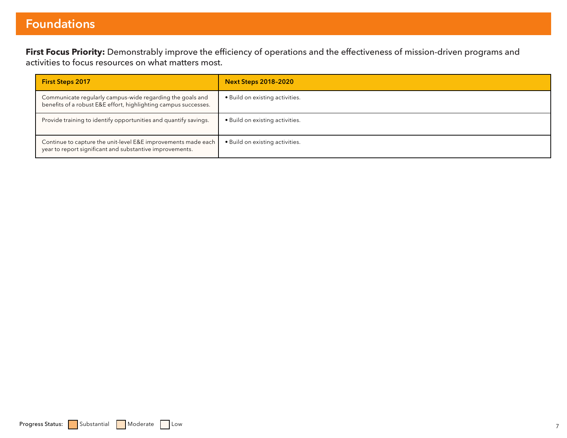## **Foundations**

**First Focus Priority:** Demonstrably improve the efficiency of operations and the effectiveness of mission-driven programs and activities to focus resources on what matters most.

| <b>First Steps 2017</b>                                                                                                      | <b>Next Steps 2018-2020</b>     |
|------------------------------------------------------------------------------------------------------------------------------|---------------------------------|
| Communicate regularly campus-wide regarding the goals and<br>benefits of a robust E&E effort, highlighting campus successes. | • Build on existing activities. |
| Provide training to identify opportunities and quantify savings.                                                             | • Build on existing activities. |
| Continue to capture the unit-level E&E improvements made each<br>year to report significant and substantive improvements.    | • Build on existing activities. |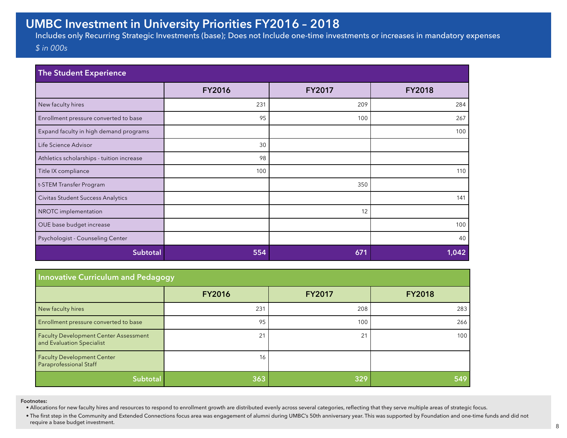## **UMBC Investment in University Priorities FY2016 – 2018**

Includes only Recurring Strategic Investments (base); Does not Include one-time investments or increases in mandatory expenses *\$ in 000s*

| The Student Experience                    |               |               |               |
|-------------------------------------------|---------------|---------------|---------------|
|                                           | <b>FY2016</b> | <b>FY2017</b> | <b>FY2018</b> |
| New faculty hires                         | 231           | 209           | 284           |
| Enrollment pressure converted to base     | 95            | 100           | 267           |
| Expand faculty in high demand programs    |               |               | 100           |
| Life Science Advisor                      | 30            |               |               |
| Athletics scholarships - tuition increase | 98            |               |               |
| Title IX compliance                       | 100           |               | 110           |
| t-STEM Transfer Program                   |               | 350           |               |
| Civitas Student Success Analytics         |               |               | 141           |
| NROTC implementation                      |               | 12            |               |
| OUE base budget increase                  |               |               | 100           |
| Psychologist - Counseling Center          |               |               | 40            |
| Subtotal                                  | 554           | 671           | 1,042         |

| <b>Innovative Curriculum and Pedagogy</b>                                 |               |               |               |
|---------------------------------------------------------------------------|---------------|---------------|---------------|
|                                                                           | <b>FY2016</b> | <b>FY2017</b> | <b>FY2018</b> |
| New faculty hires                                                         | 231           | 208           | 283           |
| Enrollment pressure converted to base                                     | 95            | 100           | 266           |
| <b>Faculty Development Center Assessment</b><br>and Evaluation Specialist | 21            | 21            | 100           |
| <b>Faculty Development Center</b><br>Paraprofessional Staff               | 16            |               |               |
| <b>Subtotal</b>                                                           | 363           | 329           | 549           |

**Footnotes:**

• Allocations for new faculty hires and resources to respond to enrollment growth are distributed evenly across several categories, reflecting that they serve multiple areas of strategic focus.

• The first step in the Community and Extended Connections focus area was engagement of alumni during UMBC's 50th anniversary year. This was supported by Foundation and one-time funds and did not require a base budget inve require a base budget investment. And the contract of the contract of the contract of the contract of the contract of the contract of the contract of the contract of the contract of the contract of the contract of the cont